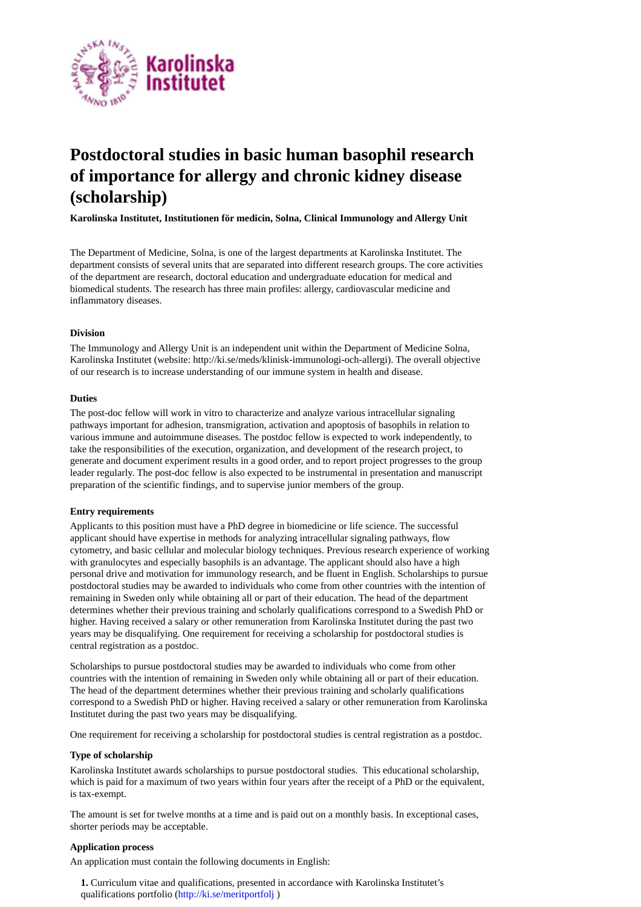

# **Postdoctoral studies in basic human basophil research of importance for allergy and chronic kidney disease (scholarship)**

**Karolinska Institutet, Institutionen för medicin, Solna, Clinical Immunology and Allergy Unit** 

The Department of Medicine, Solna, is one of the largest departments at Karolinska Institutet. The department consists of several units that are separated into different research groups. The core activities of the department are research, doctoral education and undergraduate education for medical and biomedical students. The research has three main profiles: allergy, cardiovascular medicine and inflammatory diseases.

## **Division**

The Immunology and Allergy Unit is an independent unit within the Department of Medicine Solna, Karolinska Institutet (website: http://ki.se/meds/klinisk-immunologi-och-allergi). The overall objective of our research is to increase understanding of our immune system in health and disease.

## **Duties**

The post-doc fellow will work in vitro to characterize and analyze various intracellular signaling pathways important for adhesion, transmigration, activation and apoptosis of basophils in relation to various immune and autoimmune diseases. The postdoc fellow is expected to work independently, to take the responsibilities of the execution, organization, and development of the research project, to generate and document experiment results in a good order, and to report project progresses to the group leader regularly. The post-doc fellow is also expected to be instrumental in presentation and manuscript preparation of the scientific findings, and to supervise junior members of the group.

# **Entry requirements**

Applicants to this position must have a PhD degree in biomedicine or life science. The successful applicant should have expertise in methods for analyzing intracellular signaling pathways, flow cytometry, and basic cellular and molecular biology techniques. Previous research experience of working with granulocytes and especially basophils is an advantage. The applicant should also have a high personal drive and motivation for immunology research, and be fluent in English. Scholarships to pursue postdoctoral studies may be awarded to individuals who come from other countries with the intention of remaining in Sweden only while obtaining all or part of their education. The head of the department determines whether their previous training and scholarly qualifications correspond to a Swedish PhD or higher. Having received a salary or other remuneration from Karolinska Institutet during the past two years may be disqualifying. One requirement for receiving a scholarship for postdoctoral studies is central registration as a postdoc.

Scholarships to pursue postdoctoral studies may be awarded to individuals who come from other countries with the intention of remaining in Sweden only while obtaining all or part of their education. The head of the department determines whether their previous training and scholarly qualifications correspond to a Swedish PhD or higher. Having received a salary or other remuneration from Karolinska Institutet during the past two years may be disqualifying.

One requirement for receiving a scholarship for postdoctoral studies is central registration as a postdoc.

### **Type of scholarship**

Karolinska Institutet awards scholarships to pursue postdoctoral studies. This educational scholarship, which is paid for a maximum of two years within four years after the receipt of a PhD or the equivalent, is tax-exempt.

The amount is set for twelve months at a time and is paid out on a monthly basis. In exceptional cases, shorter periods may be acceptable.

### **Application process**

An application must contain the following documents in English:

**1.** Curriculum vitae and qualifications, presented in accordance with Karolinska Institutet's qualifications portfolio (http://ki.se/meritportfolj )